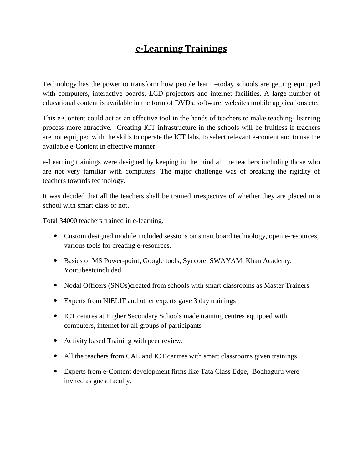## **e-Learning Trainings**

Technology has the power to transform how people learn –today schools are getting equipped with computers, interactive boards, LCD projectors and internet facilities. A large number of educational content is available in the form of DVDs, software, websites mobile applications etc.

This e-Content could act as an effective tool in the hands of teachers to make teaching- learning process more attractive. Creating ICT infrastructure in the schools will be fruitless if teachers are not equipped with the skills to operate the ICT labs, to select relevant e-content and to use the available e-Content in effective manner.

e-Learning trainings were designed by keeping in the mind all the teachers including those who are not very familiar with computers. The major challenge was of breaking the rigidity of teachers towards technology.

It was decided that all the teachers shall be trained irrespective of whether they are placed in a school with smart class or not.

Total 34000 teachers trained in e-learning.

- Custom designed module included sessions on smart board technology, open e-resources, various tools for creating e-resources.
- Basics of MS Power-point, Google tools, Syncore, SWAYAM, Khan Academy, Youtubeetcincluded .
- Nodal Officers (SNOs)created from schools with smart classrooms as Master Trainers
- Experts from NIELIT and other experts gave 3 day trainings
- ICT centres at Higher Secondary Schools made training centres equipped with computers, internet for all groups of participants
- Activity based Training with peer review.
- All the teachers from CAL and ICT centres with smart classrooms given trainings
- Experts from e-Content development firms like Tata Class Edge, Bodhaguru were invited as guest faculty.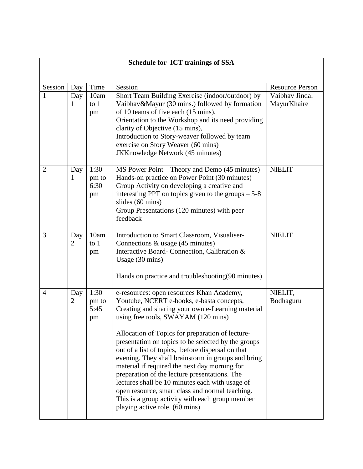| <b>Schedule for ICT trainings of SSA</b> |                       |                             |                                                                                                                                                                                                                                                                                                                                                                                                                                                                                                                                                                                                                                                                                                       |                               |  |  |  |
|------------------------------------------|-----------------------|-----------------------------|-------------------------------------------------------------------------------------------------------------------------------------------------------------------------------------------------------------------------------------------------------------------------------------------------------------------------------------------------------------------------------------------------------------------------------------------------------------------------------------------------------------------------------------------------------------------------------------------------------------------------------------------------------------------------------------------------------|-------------------------------|--|--|--|
| Session                                  | Day                   | Time                        | Session                                                                                                                                                                                                                                                                                                                                                                                                                                                                                                                                                                                                                                                                                               | <b>Resource Person</b>        |  |  |  |
| 1                                        | Day<br>1              | 10am<br>to $1$<br>pm        | Short Team Building Exercise (indoor/outdoor) by<br>Vaibhav&Mayur (30 mins.) followed by formation<br>of 10 teams of five each (15 mins),<br>Orientation to the Workshop and its need providing<br>clarity of Objective (15 mins),<br>Introduction to Story-weaver followed by team<br>exercise on Story Weaver (60 mins)<br><b>JKKnowledge Network (45 minutes)</b>                                                                                                                                                                                                                                                                                                                                  | Vaibhav Jindal<br>MayurKhaire |  |  |  |
| $\overline{2}$                           | Day<br>1              | 1:30<br>pm to<br>6:30<br>pm | MS Power Point – Theory and Demo (45 minutes)<br>Hands-on practice on Power Point (30 minutes)<br>Group Activity on developing a creative and<br>interesting PPT on topics given to the groups $-5-8$<br>slides (60 mins)<br>Group Presentations (120 minutes) with peer<br>feedback                                                                                                                                                                                                                                                                                                                                                                                                                  | <b>NIELIT</b>                 |  |  |  |
| 3                                        | Day<br>$\overline{2}$ | 10am<br>to $1$<br>pm        | Introduction to Smart Classroom, Visualiser-<br>Connections $&$ usage (45 minutes)<br>Interactive Board-Connection, Calibration &<br>Usage (30 mins)<br>Hands on practice and troubleshooting(90 minutes)                                                                                                                                                                                                                                                                                                                                                                                                                                                                                             | <b>NIELIT</b>                 |  |  |  |
| $\overline{4}$                           | Day<br>$\overline{2}$ | 1:30<br>pm to<br>5:45<br>pm | e-resources: open resources Khan Academy,<br>Youtube, NCERT e-books, e-basta concepts,<br>Creating and sharing your own e-Learning material<br>using free tools, SWAYAM (120 mins)<br>Allocation of Topics for preparation of lecture-<br>presentation on topics to be selected by the groups<br>out of a list of topics, before dispersal on that<br>evening. They shall brainstorm in groups and bring<br>material if required the next day morning for<br>preparation of the lecture presentations. The<br>lectures shall be 10 minutes each with usage of<br>open resource, smart class and normal teaching.<br>This is a group activity with each group member<br>playing active role. (60 mins) | NIELIT,<br>Bodhaguru          |  |  |  |